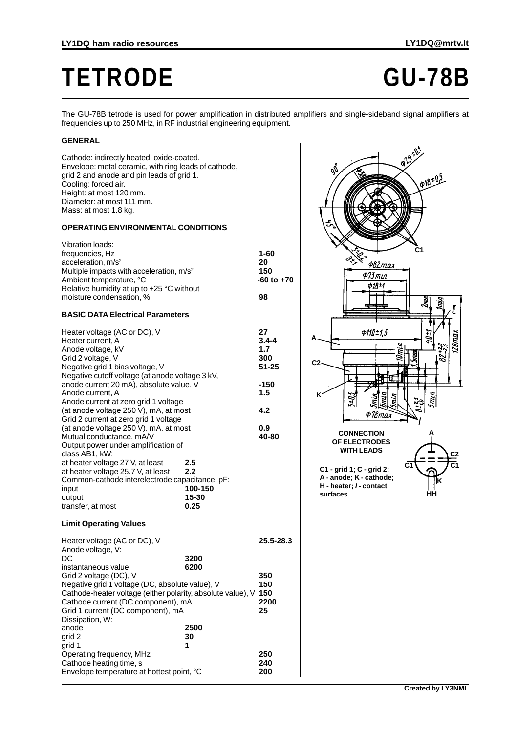# **TETRODE GU-78B**

The GU-78B tetrode is used for power amplification in distributed amplifiers and single-sideband signal amplifiers at frequencies up to 250 MHz, in RF industrial engineering equipment.

### **GENERAL**

Cathode: indirectly heated, oxide-coated. Envelope: metal ceramic, with ring leads of cathode, grid 2 and anode and pin leads of grid 1. Cooling: forced air. Height: at most 120 mm. Diameter: at most 111 mm. Mass: at most 1.8 kg.

#### **OPERATING ENVIRONMENTAL CONDITIONS**

| <b>Vibration loads:</b><br>frequencies, Hz<br>acceleration, m/s <sup>2</sup><br>Multiple impacts with acceleration, m/s <sup>2</sup><br>Ambient temperature, °C<br>Relative humidity at up to +25 °C without<br>moisture condensation, % |                                        | $1 - 60$<br>20<br>150<br>-60 to<br>98                |
|------------------------------------------------------------------------------------------------------------------------------------------------------------------------------------------------------------------------------------------|----------------------------------------|------------------------------------------------------|
| <b>BASIC DATA Electrical Parameters</b>                                                                                                                                                                                                  |                                        |                                                      |
| Heater voltage (AC or DC), V<br>Heater current, A<br>Anode voltage, kV<br>Grid 2 voltage, V<br>Negative grid 1 bias voltage, V<br>Negative cutoff voltage (at anode voltage 3 kV,<br>anode current 20 mA), absolute value, V             |                                        | 27<br>$3.4 - 4$<br>1.7<br>300<br>$51 - 25$<br>$-150$ |
| Anode current, A                                                                                                                                                                                                                         |                                        | 1.5                                                  |
| Anode current at zero grid 1 voltage<br>(at anode voltage 250 V), mA, at most                                                                                                                                                            |                                        | 4.2                                                  |
| Grid 2 current at zero grid 1 voltage<br>(at anode voltage 250 V), mA, at most<br>Mutual conductance, mA/V<br>Output power under amplification of<br>class AB1, kW:                                                                      |                                        | 0.9<br>40-80                                         |
| at heater voltage 27 V, at least<br>at heater voltage 25.7 V, at least<br>Common-cathode interelectrode capacitance, pF:<br>input<br>output<br>transfer, at most                                                                         | 2.5<br>2.2<br>100-150<br>15-30<br>0.25 |                                                      |
| <b>Limit Operating Values</b>                                                                                                                                                                                                            |                                        |                                                      |

## Heater voltage (AC or DC), V **25.5-28.3** Anode voltage, V: DC 3200<br>
instantaneous value 6200 instantaneous value Grid 2 voltage (DC), V **350**

| Grid 2 voltage (DC), V<br>Negative grid 1 voltage (DC, absolute value), V<br>Cathode-heater voltage (either polarity, absolute value), V<br>Cathode current (DC component), mA<br>Grid 1 current (DC component), mA<br>Dissipation, W: |                   |
|----------------------------------------------------------------------------------------------------------------------------------------------------------------------------------------------------------------------------------------|-------------------|
| 2500<br>anode<br>grid 2<br>30<br>grid 1<br>1                                                                                                                                                                                           |                   |
| Operating frequency, MHz<br>Cathode heating time, s<br>Envelope temperature at hottest point, °C                                                                                                                                       | 250<br>240<br>200 |